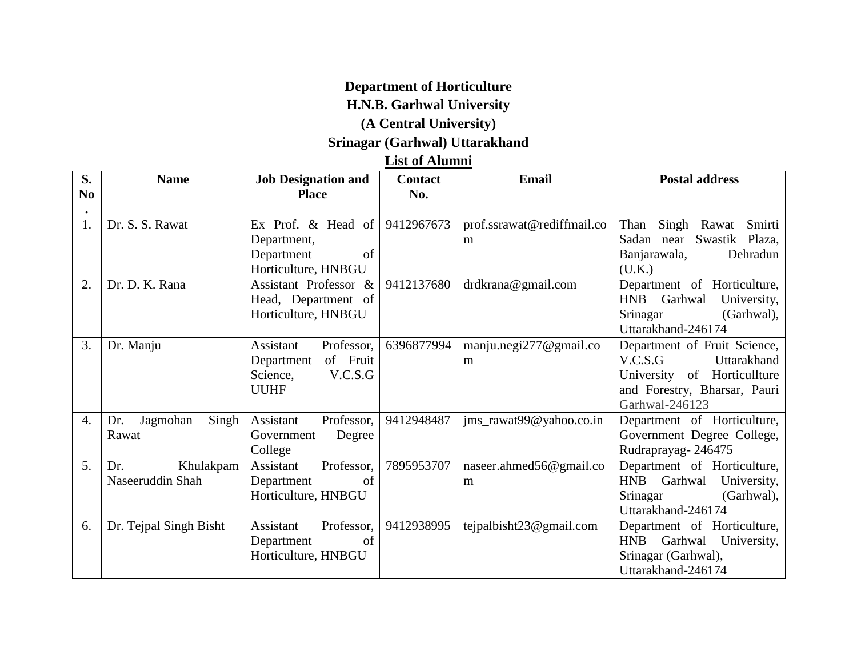### **Department of Horticulture**

# **H.N.B. Garhwal University**

### **(A Central University)**

# **Srinagar (Garhwal) Uttarakhand**

#### **List of Alumni**

| S.             | <b>Name</b>              | <b>Job Designation and</b> | <b>Contact</b> | <b>Email</b>                | <b>Postal address</b>                          |  |  |  |
|----------------|--------------------------|----------------------------|----------------|-----------------------------|------------------------------------------------|--|--|--|
| N <sub>0</sub> |                          | <b>Place</b>               | No.            |                             |                                                |  |  |  |
| 1.             | Dr. S. S. Rawat          | Ex Prof. & Head of         | 9412967673     | prof.ssrawat@rediffmail.co  | Than<br>Singh<br>Smirti<br>Rawat               |  |  |  |
|                |                          | Department,                |                | m                           | Sadan near Swastik Plaza,                      |  |  |  |
|                |                          | Department<br>of           |                |                             | Banjarawala,<br>Dehradun                       |  |  |  |
|                |                          | Horticulture, HNBGU        |                |                             | (U.K.)                                         |  |  |  |
| 2.             | Dr. D. K. Rana           | Assistant Professor &      | 9412137680     | drdkrana@gmail.com          | Department of Horticulture,                    |  |  |  |
|                |                          | Head, Department of        |                |                             | HNB Garhwal<br>University,                     |  |  |  |
|                |                          | Horticulture, HNBGU        |                |                             | Srinagar<br>(Garhwal),                         |  |  |  |
|                |                          |                            |                |                             | Uttarakhand-246174                             |  |  |  |
| 3.             | Dr. Manju                | Assistant<br>Professor,    | 6396877994     | manju.negi $277$ @gmail.co  | Department of Fruit Science,                   |  |  |  |
|                |                          | of Fruit<br>Department     |                | m                           | V.C.S.G<br>Uttarakhand                         |  |  |  |
|                |                          | Science,<br>V.C.S.G        |                |                             | University of Horticullture                    |  |  |  |
|                |                          | <b>UUHF</b>                |                |                             | and Forestry, Bharsar, Pauri<br>Garhwal-246123 |  |  |  |
| 4.             | Singh<br>Dr.<br>Jagmohan | Assistant<br>Professor,    | 9412948487     | jms_rawat99@yahoo.co.in     | Department of Horticulture,                    |  |  |  |
|                | Rawat                    | Degree<br>Government       |                |                             | Government Degree College,                     |  |  |  |
|                |                          | College                    |                |                             | Rudraprayag-246475                             |  |  |  |
| 5.             | Khulakpam<br>Dr.         | Professor,<br>Assistant    | 7895953707     | naseer.ahmed56@gmail.co     | Department of Horticulture,                    |  |  |  |
|                | Naseeruddin Shah         | of<br>Department           |                | m                           | HNB Garhwal<br>University,                     |  |  |  |
|                |                          | Horticulture, HNBGU        |                |                             | Srinagar<br>(Garhwal),                         |  |  |  |
|                |                          |                            |                |                             | Uttarakhand-246174                             |  |  |  |
| 6.             | Dr. Tejpal Singh Bisht   | Assistant<br>Professor,    | 9412938995     | tejpalbisht $23@$ gmail.com | Department of Horticulture,                    |  |  |  |
|                |                          | of<br>Department           |                |                             | <b>HNB</b><br>Garhwal<br>University,           |  |  |  |
|                |                          | Horticulture, HNBGU        |                |                             | Srinagar (Garhwal),                            |  |  |  |
|                |                          |                            |                |                             | Uttarakhand-246174                             |  |  |  |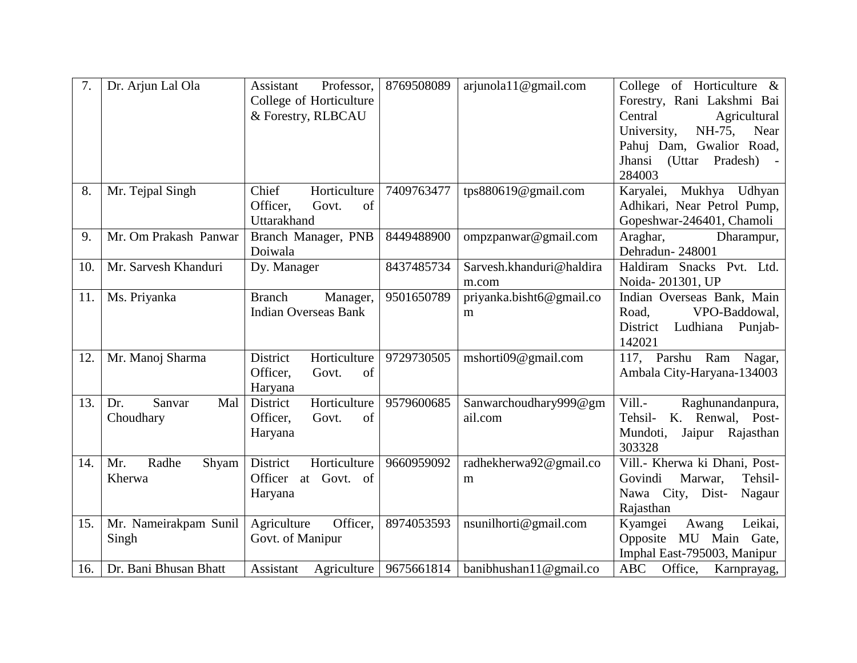| 7.  | Dr. Arjun Lal Ola     | Professor,<br>Assistant     | 8769508089               | arjunola11@gmail.com       | College of Horticulture $\&$      |
|-----|-----------------------|-----------------------------|--------------------------|----------------------------|-----------------------------------|
|     |                       | College of Horticulture     |                          |                            | Forestry, Rani Lakshmi Bai        |
|     |                       | & Forestry, RLBCAU          |                          |                            | Central<br>Agricultural           |
|     |                       |                             |                          |                            | University,<br>NH-75,<br>Near     |
|     |                       |                             |                          |                            | Pahuj Dam, Gwalior Road,          |
|     |                       |                             |                          |                            | Jhansi<br>(Uttar<br>Pradesh)      |
|     |                       |                             |                          |                            | 284003                            |
| 8.  | Mr. Tejpal Singh      | Chief<br>Horticulture       | 7409763477               | tps880619@gmail.com        | Mukhya Udhyan<br>Karyalei,        |
|     |                       | Officer.<br>Govt.<br>of     |                          |                            | Adhikari, Near Petrol Pump,       |
|     |                       | Uttarakhand                 |                          |                            | Gopeshwar-246401, Chamoli         |
| 9.  | Mr. Om Prakash Panwar | Branch Manager, PNB         | 8449488900               | ompzpanwar@gmail.com       | Araghar,<br>Dharampur,            |
|     |                       | Doiwala                     |                          |                            | Dehradun-248001                   |
| 10. | Mr. Sarvesh Khanduri  | Dy. Manager                 | 8437485734               | Sarvesh.khanduri@haldira   | Haldiram Snacks Pvt. Ltd.         |
|     |                       |                             |                          | m.com                      | Noida-201301, UP                  |
| 11. | Ms. Priyanka          | <b>Branch</b><br>Manager,   | 9501650789               | priyanka.bisht6@gmail.co   | Indian Overseas Bank, Main        |
|     |                       | <b>Indian Overseas Bank</b> |                          | m                          | VPO-Baddowal,<br>Road.            |
|     |                       |                             |                          |                            | Ludhiana<br>Punjab-<br>District   |
|     |                       |                             |                          |                            | 142021                            |
| 12. | Mr. Manoj Sharma      | District<br>Horticulture    | 9729730505               | mshorti09@gmail.com        | 117, Parshu Ram Nagar,            |
|     |                       | Officer,<br>of<br>Govt.     |                          |                            | Ambala City-Haryana-134003        |
|     |                       | Haryana                     |                          |                            |                                   |
| 13. | Sanvar<br>Mal<br>Dr.  | Horticulture<br>District    | 9579600685               | Sanwarchoudhary999@gm      | Vill.-<br>Raghunandanpura,        |
|     | Choudhary             | Officer,<br>of<br>Govt.     |                          | ail.com                    | K. Renwal, Post-<br>Tehsil-       |
|     |                       | Haryana                     |                          |                            | Mundoti,<br>Jaipur Rajasthan      |
|     |                       |                             |                          |                            | 303328                            |
| 14. | Radhe<br>Mr.<br>Shyam | District<br>Horticulture    | 9660959092               | radhekherwa92@gmail.co     | Vill.- Kherwa ki Dhani, Post-     |
|     | Kherwa                | Officer<br>Govt. of<br>at   |                          | m                          | Marwar,<br>Tehsil-<br>Govindi     |
|     |                       | Haryana                     |                          |                            | Nawa City, Dist-<br>Nagaur        |
|     |                       |                             |                          |                            | Rajasthan                         |
| 15. | Mr. Nameirakpam Sunil | Officer,<br>Agriculture     | 8974053593               | nsunilhorti@gmail.com      | Leikai,<br>Kyamgei<br>Awang       |
|     | Singh                 | Govt. of Manipur            |                          |                            | MU Main Gate,<br>Opposite         |
|     |                       |                             |                          |                            | Imphal East-795003, Manipur       |
| 16. | Dr. Bani Bhusan Bhatt | Assistant                   | Agriculture   9675661814 | banibhushan $11@$ gmail.co | <b>ABC</b><br>Office, Karnprayag, |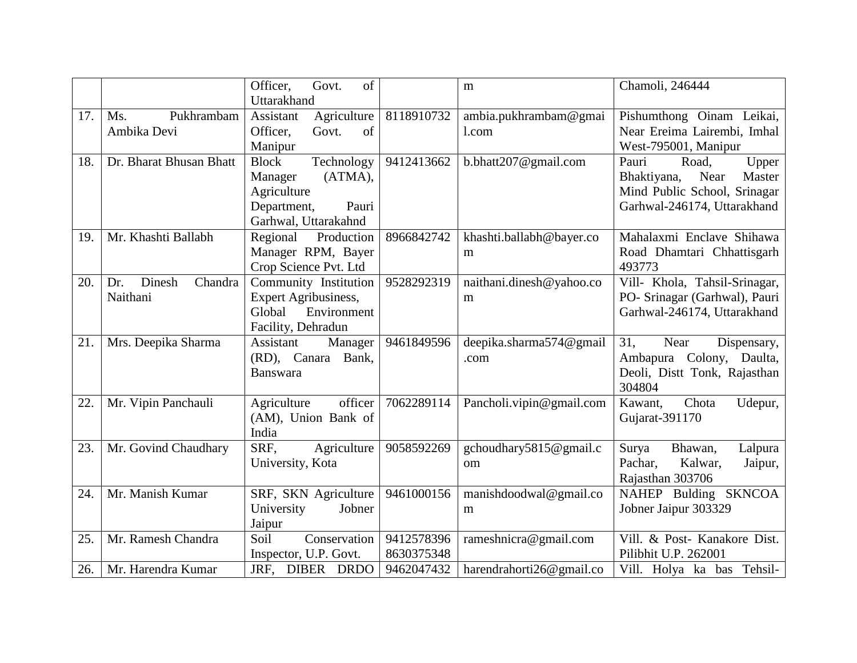|     |                          | Officer,<br>of<br>Govt.     |            | m                        | Chamoli, 246444               |
|-----|--------------------------|-----------------------------|------------|--------------------------|-------------------------------|
|     |                          | Uttarakhand                 |            |                          |                               |
|     |                          |                             |            |                          |                               |
| 17. | Pukhrambam<br>Ms.        | Agriculture<br>Assistant    | 8118910732 | ambia.pukhrambam@gmai    | Pishumthong Oinam Leikai,     |
|     | Ambika Devi              | Officer,<br>of<br>Govt.     |            | l.com                    | Near Ereima Lairembi, Imhal   |
|     |                          | Manipur                     |            |                          | West-795001, Manipur          |
| 18. | Dr. Bharat Bhusan Bhatt  | Technology<br><b>Block</b>  | 9412413662 | b.bhatt207@gmail.com     | Pauri<br>Road,<br>Upper       |
|     |                          | (ATMA),<br>Manager          |            |                          | Bhaktiyana,<br>Near<br>Master |
|     |                          | Agriculture                 |            |                          | Mind Public School, Srinagar  |
|     |                          | Department,<br>Pauri        |            |                          | Garhwal-246174, Uttarakhand   |
|     |                          | Garhwal, Uttarakahnd        |            |                          |                               |
| 19. | Mr. Khashti Ballabh      | Production<br>Regional      | 8966842742 | khashti.ballabh@bayer.co | Mahalaxmi Enclave Shihawa     |
|     |                          | Manager RPM, Bayer          |            | m                        | Road Dhamtari Chhattisgarh    |
|     |                          | Crop Science Pvt. Ltd       |            |                          | 493773                        |
| 20. | Dinesh<br>Chandra<br>Dr. | Community Institution       | 9528292319 | naithani.dinesh@yahoo.co | Vill- Khola, Tahsil-Srinagar, |
|     | Naithani                 | <b>Expert Agribusiness,</b> |            | m                        | PO- Srinagar (Garhwal), Pauri |
|     |                          | Global<br>Environment       |            |                          | Garhwal-246174, Uttarakhand   |
|     |                          | Facility, Dehradun          |            |                          |                               |
| 21. | Mrs. Deepika Sharma      | Assistant<br>Manager        | 9461849596 | deepika.sharma574@gmail  | 31,<br>Near<br>Dispensary,    |
|     |                          | (RD), Canara<br>Bank,       |            | .com                     | Ambapura Colony, Daulta,      |
|     |                          | <b>Banswara</b>             |            |                          | Deoli, Distt Tonk, Rajasthan  |
|     |                          |                             |            |                          | 304804                        |
| 22. | Mr. Vipin Panchauli      | officer<br>Agriculture      | 7062289114 | Pancholi.vipin@gmail.com | Chota<br>Kawant.<br>Udepur,   |
|     |                          | (AM), Union Bank of         |            |                          | Gujarat-391170                |
|     |                          | India                       |            |                          |                               |
| 23. | Mr. Govind Chaudhary     | SRF,<br>Agriculture         | 9058592269 | gchoudhary5815@gmail.c   | Surya<br>Bhawan,<br>Lalpura   |
|     |                          | University, Kota            |            | om                       | Pachar,<br>Kalwar,<br>Jaipur, |
|     |                          |                             |            |                          | Rajasthan 303706              |
| 24. | Mr. Manish Kumar         | SRF, SKN Agriculture        | 9461000156 | manishdoodwal@gmail.co   | NAHEP Bulding SKNCOA          |
|     |                          | University<br>Jobner        |            | m                        | Jobner Jaipur 303329          |
|     |                          | Jaipur                      |            |                          |                               |
| 25. | Mr. Ramesh Chandra       | Conservation<br>Soil        | 9412578396 | rameshnicra@gmail.com    | Vill. & Post- Kanakore Dist.  |
|     |                          | Inspector, U.P. Govt.       | 8630375348 |                          | Pilibhit U.P. 262001          |
| 26. | Mr. Harendra Kumar       | JRF, DIBER DRDO             | 9462047432 | harendrahorti26@gmail.co | Vill. Holya ka bas Tehsil-    |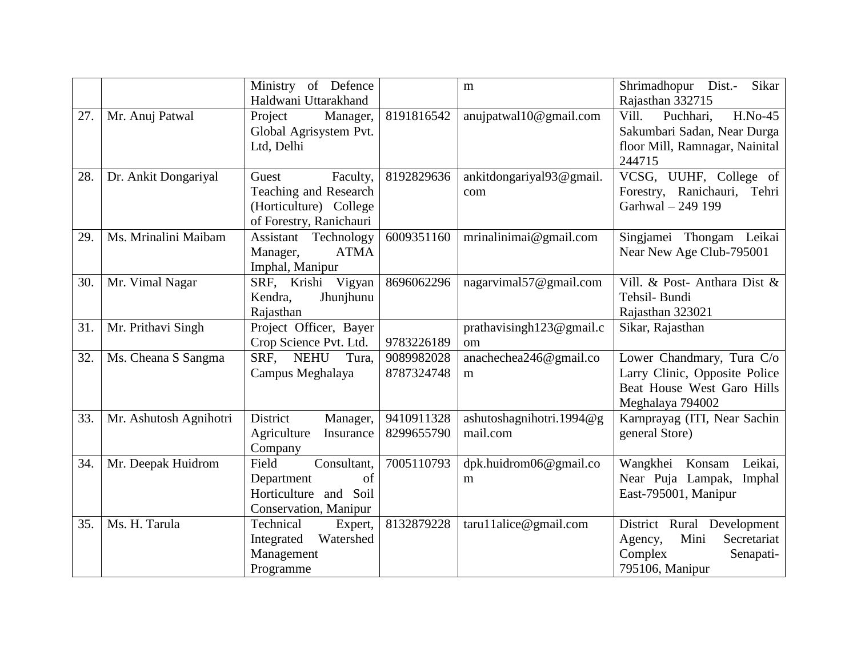|     |                        | Ministry of Defence          |            | m                        | Shrimadhopur Dist.-<br>Sikar    |
|-----|------------------------|------------------------------|------------|--------------------------|---------------------------------|
|     |                        | Haldwani Uttarakhand         |            |                          | Rajasthan 332715                |
| 27. | Mr. Anuj Patwal        | Project<br>Manager,          | 8191816542 | anujpatwal10@gmail.com   | Vill.<br>$H.No-45$<br>Puchhari, |
|     |                        | Global Agrisystem Pvt.       |            |                          | Sakumbari Sadan, Near Durga     |
|     |                        | Ltd, Delhi                   |            |                          | floor Mill, Ramnagar, Nainital  |
|     |                        |                              |            |                          | 244715                          |
| 28. | Dr. Ankit Dongariyal   | Guest<br>Faculty,            | 8192829636 | ankitdongariyal93@gmail. | VCSG, UUHF, College of          |
|     |                        | Teaching and Research        |            | com                      | Forestry, Ranichauri, Tehri     |
|     |                        | (Horticulture) College       |            |                          | Garhwal - 249 199               |
|     |                        | of Forestry, Ranichauri      |            |                          |                                 |
| 29. | Ms. Mrinalini Maibam   | Assistant Technology         | 6009351160 | mrinalinimai@gmail.com   | Singjamei Thongam Leikai        |
|     |                        | Manager,<br><b>ATMA</b>      |            |                          | Near New Age Club-795001        |
|     |                        | Imphal, Manipur              |            |                          |                                 |
| 30. | Mr. Vimal Nagar        | SRF, Krishi Vigyan           | 8696062296 | nagarvimal57@gmail.com   | Vill. & Post- Anthara Dist &    |
|     |                        | Kendra,<br>Jhunjhunu         |            |                          | Tehsil-Bundi                    |
|     |                        | Rajasthan                    |            |                          | Rajasthan 323021                |
| 31. | Mr. Prithavi Singh     | Project Officer, Bayer       |            | prathavisingh123@gmail.c | Sikar, Rajasthan                |
|     |                        | Crop Science Pvt. Ltd.       | 9783226189 | om                       |                                 |
| 32. | Ms. Cheana S Sangma    | SRF,<br><b>NEHU</b><br>Tura, | 9089982028 | anachechea246@gmail.co   | Lower Chandmary, Tura C/o       |
|     |                        | Campus Meghalaya             | 8787324748 | m                        | Larry Clinic, Opposite Police   |
|     |                        |                              |            |                          | Beat House West Garo Hills      |
|     |                        |                              |            |                          | Meghalaya 794002                |
| 33. | Mr. Ashutosh Agnihotri | District<br>Manager,         | 9410911328 | ashutoshagnihotri.1994@g | Karnprayag (ITI, Near Sachin    |
|     |                        | Agriculture<br>Insurance     | 8299655790 | mail.com                 | general Store)                  |
|     |                        | Company                      |            |                          |                                 |
| 34. | Mr. Deepak Huidrom     | Field<br>Consultant,         | 7005110793 | dpk.huidrom06@gmail.co   | Wangkhei Konsam<br>Leikai,      |
|     |                        | of<br>Department             |            | m                        | Near Puja Lampak, Imphal        |
|     |                        | Horticulture<br>and Soil     |            |                          | East-795001, Manipur            |
|     |                        | Conservation, Manipur        |            |                          |                                 |
| 35. | Ms. H. Tarula          | Technical<br>Expert,         | 8132879228 | $taru11$ alice@gmail.com | District Rural Development      |
|     |                        | Watershed<br>Integrated      |            |                          | Mini<br>Secretariat<br>Agency,  |
|     |                        | Management                   |            |                          | Complex<br>Senapati-            |
|     |                        | Programme                    |            |                          | 795106, Manipur                 |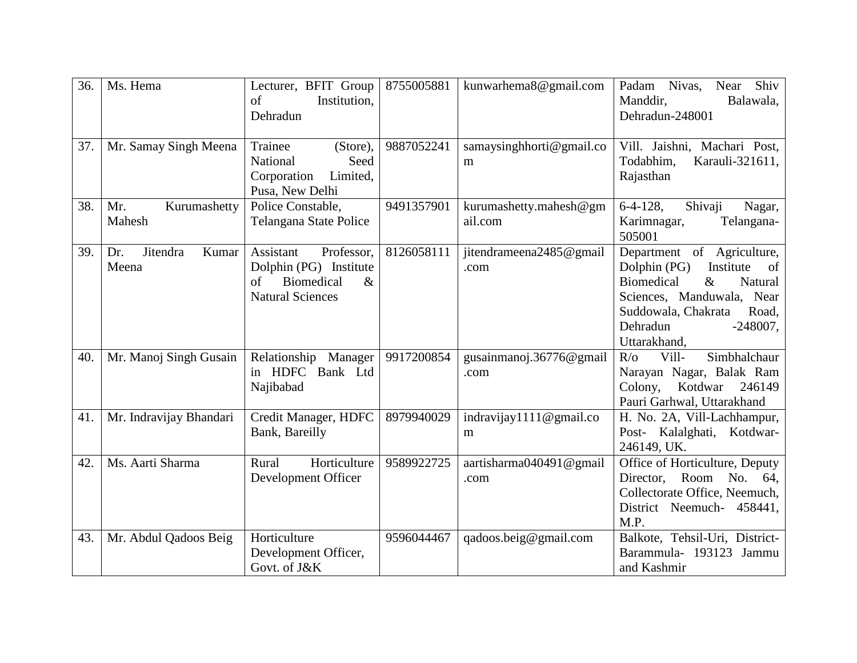| 36. | Ms. Hema                          | Lecturer, BFIT Group<br>of<br>Institution,<br>Dehradun                                                          | 8755005881 | kunwarhema8@gmail.com             | Shiv<br>Nivas,<br>Padam<br>Near<br>Manddir,<br>Balawala,<br>Dehradun-248001                                                                                                                                              |
|-----|-----------------------------------|-----------------------------------------------------------------------------------------------------------------|------------|-----------------------------------|--------------------------------------------------------------------------------------------------------------------------------------------------------------------------------------------------------------------------|
| 37. | Mr. Samay Singh Meena             | Trainee<br>(Store),<br>National<br>Seed<br>Corporation<br>Limited,<br>Pusa, New Delhi                           | 9887052241 | samaysinghhorti@gmail.co<br>m     | Vill. Jaishni, Machari Post,<br>Todabhim,<br>Karauli-321611,<br>Rajasthan                                                                                                                                                |
| 38. | Mr.<br>Kurumashetty<br>Mahesh     | Police Constable,<br>Telangana State Police                                                                     | 9491357901 | kurumashetty.mahesh@gm<br>ail.com | $6-4-128$ ,<br>Shivaji<br>Nagar,<br>Karimnagar,<br>Telangana-<br>505001                                                                                                                                                  |
| 39. | Jitendra<br>Kumar<br>Dr.<br>Meena | Assistant<br>Professor,<br>Dolphin (PG) Institute<br>of<br><b>Biomedical</b><br>$\&$<br><b>Natural Sciences</b> | 8126058111 | jitendrameena2485@gmail<br>.com   | Department of Agriculture,<br>Dolphin (PG)<br>Institute<br><sub>of</sub><br><b>Biomedical</b><br>$\&$<br>Natural<br>Sciences, Manduwala, Near<br>Suddowala, Chakrata<br>Road,<br>Dehradun<br>$-248007$ ,<br>Uttarakhand, |
| 40. | Mr. Manoj Singh Gusain            | Relationship<br>Manager<br>in HDFC<br>Bank Ltd<br>Najibabad                                                     | 9917200854 | gusainmanoj.36776@gmail<br>.com   | Simbhalchaur<br>Vill-<br>$R/\sigma$<br>Narayan Nagar, Balak Ram<br>Colony,<br>Kotdwar<br>246149<br>Pauri Garhwal, Uttarakhand                                                                                            |
| 41. | Mr. Indravijay Bhandari           | Credit Manager, HDFC<br>Bank, Bareilly                                                                          | 8979940029 | indravijay1111@gmail.co<br>m      | H. No. 2A, Vill-Lachhampur,<br>Post- Kalalghati, Kotdwar-<br>246149, UK.                                                                                                                                                 |
| 42. | Ms. Aarti Sharma                  | Horticulture<br>Rural<br>Development Officer                                                                    | 9589922725 | aartisharma040491@gmail<br>.com   | Office of Horticulture, Deputy<br>Director,<br>Room<br>No. 64,<br>Collectorate Office, Neemuch,<br>District Neemuch- 458441,<br>M.P.                                                                                     |
| 43. | Mr. Abdul Qadoos Beig             | Horticulture<br>Development Officer,<br>Govt. of J&K                                                            | 9596044467 | qadoos.beig@gmail.com             | Balkote, Tehsil-Uri, District-<br>Barammula- 193123 Jammu<br>and Kashmir                                                                                                                                                 |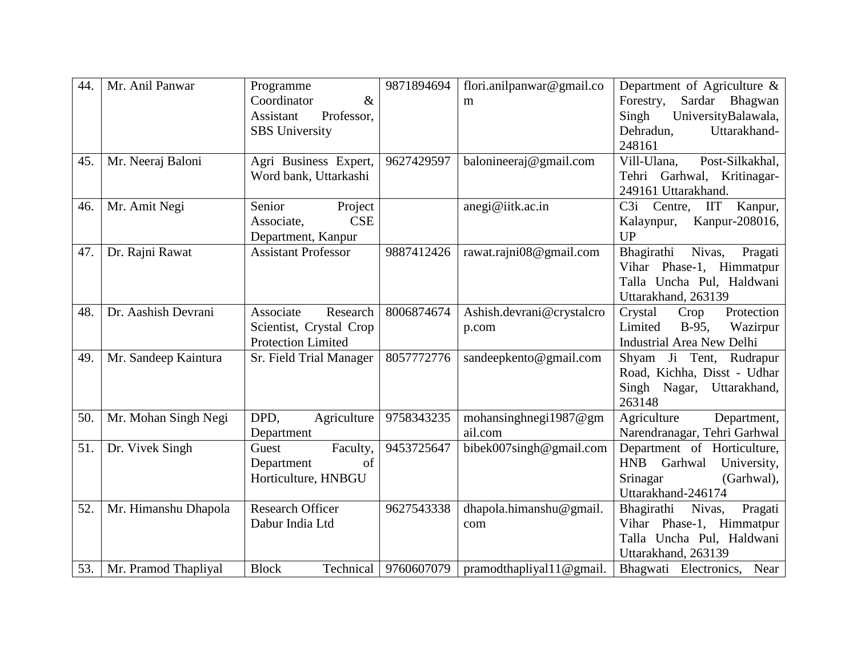| 44. | Mr. Anil Panwar      | Programme                  | 9871894694 | flori.anilpanwar@gmail.co    | Department of Agriculture &             |
|-----|----------------------|----------------------------|------------|------------------------------|-----------------------------------------|
|     |                      | Coordinator<br>$\&$        |            | m                            | Forestry,<br>Sardar Bhagwan             |
|     |                      | Assistant<br>Professor,    |            |                              | UniversityBalawala,<br>Singh            |
|     |                      | <b>SBS</b> University      |            |                              | Uttarakhand-<br>Dehradun,               |
|     |                      |                            |            |                              | 248161                                  |
| 45. | Mr. Neeraj Baloni    | Agri Business Expert,      | 9627429597 | balonineeraj@gmail.com       | Post-Silkakhal,<br>Vill-Ulana,          |
|     |                      | Word bank, Uttarkashi      |            |                              | Tehri Garhwal, Kritinagar-              |
|     |                      |                            |            |                              | 249161 Uttarakhand.                     |
| 46. | Mr. Amit Negi        | Project<br>Senior          |            | anegi@iitk.ac.in             | Kanpur,<br>C3i<br>Centre,<br><b>IIT</b> |
|     |                      | <b>CSE</b><br>Associate,   |            |                              | Kanpur-208016,<br>Kalaynpur,            |
|     |                      | Department, Kanpur         |            |                              | <b>UP</b>                               |
| 47. | Dr. Rajni Rawat      | <b>Assistant Professor</b> | 9887412426 | rawat.rajni08@gmail.com      | Bhagirathi Nivas,<br>Pragati            |
|     |                      |                            |            |                              | Vihar Phase-1, Himmatpur                |
|     |                      |                            |            |                              | Talla Uncha Pul, Haldwani               |
|     |                      |                            |            |                              | Uttarakhand, 263139                     |
| 48. | Dr. Aashish Devrani  | Associate<br>Research      | 8006874674 | Ashish.devrani@crystalcro    | Protection<br>Crystal<br>Crop           |
|     |                      | Scientist, Crystal Crop    |            | p.com                        | Limited<br>$B-95$ ,<br>Wazirpur         |
|     |                      | <b>Protection Limited</b>  |            |                              | <b>Industrial Area New Delhi</b>        |
| 49. | Mr. Sandeep Kaintura | Sr. Field Trial Manager    | 8057772776 | sandeepkento@gmail.com       | Shyam Ji Tent, Rudrapur                 |
|     |                      |                            |            |                              | Road, Kichha, Disst - Udhar             |
|     |                      |                            |            |                              | Singh Nagar, Uttarakhand,               |
|     |                      |                            |            |                              | 263148                                  |
| 50. | Mr. Mohan Singh Negi | DPD.<br>Agriculture        | 9758343235 | mohansinghnegi1987@gm        | Agriculture<br>Department,              |
|     |                      | Department                 |            | ail.com                      | Narendranagar, Tehri Garhwal            |
| 51. | Dr. Vivek Singh      | Faculty,<br>Guest          | 9453725647 | bibek007singh@gmail.com      | Department of Horticulture,             |
|     |                      | of<br>Department           |            |                              | <b>HNB</b><br>Garhwal<br>University,    |
|     |                      | Horticulture, HNBGU        |            |                              | Srinagar<br>(Garhwal),                  |
|     |                      |                            |            |                              | Uttarakhand-246174                      |
| 52. | Mr. Himanshu Dhapola | <b>Research Officer</b>    | 9627543338 | dhapola.himanshu@gmail.      | Bhagirathi<br>Nivas,<br>Pragati         |
|     |                      | Dabur India Ltd            |            | com                          | Vihar Phase-1, Himmatpur                |
|     |                      |                            |            |                              | Talla Uncha Pul, Haldwani               |
|     |                      |                            |            |                              | Uttarakhand, 263139                     |
| 53. | Mr. Pramod Thapliyal | <b>Block</b><br>Technical  | 9760607079 | pramodthapliyal $11@$ gmail. | Bhagwati Electronics, Near              |